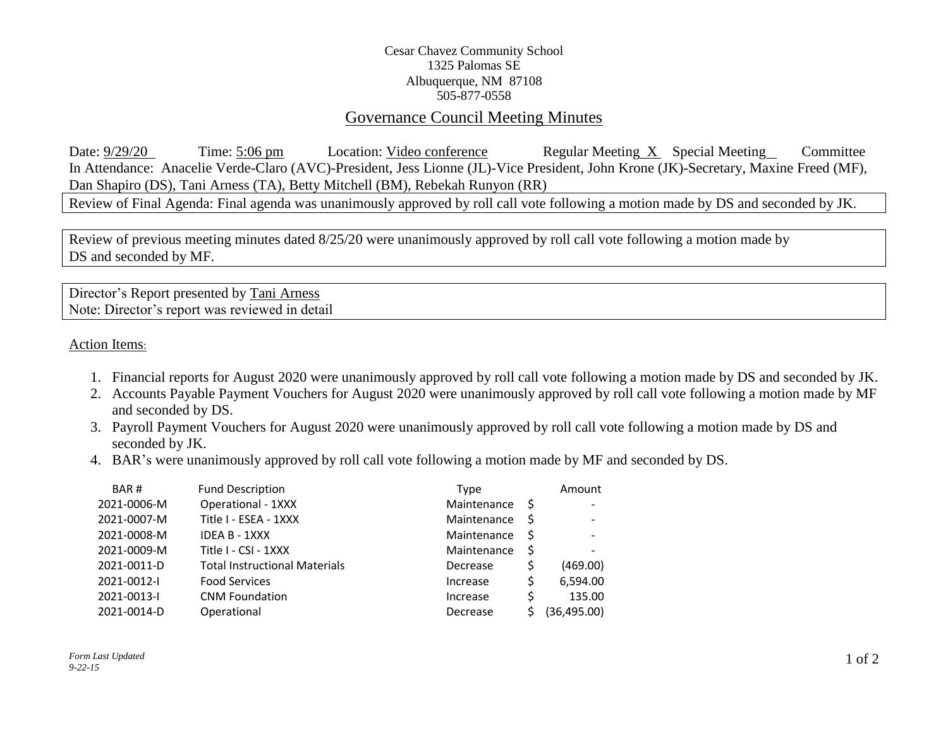## Cesar Chavez Community School 1325 Palomas SE Albuquerque, NM 87108 505-877-0558

## Governance Council Meeting Minutes

Date:  $\frac{9}{29/20}$  Time: 5:06 pm Location: Video conference Regular Meeting X Special Meeting Committee In Attendance: Anacelie Verde-Claro (AVC)-President, Jess Lionne (JL)-Vice President, John Krone (JK)-Secretary, Maxine Freed (MF), Dan Shapiro (DS), Tani Arness (TA), Betty Mitchell (BM), Rebekah Runyon (RR)

Review of Final Agenda: Final agenda was unanimously approved by roll call vote following a motion made by DS and seconded by JK.

Review of previous meeting minutes dated 8/25/20 were unanimously approved by roll call vote following a motion made by DS and seconded by MF.

Director's Report presented by Tani Arness Note: Director's report was reviewed in detail

Action Items:

- 1. Financial reports for August 2020 were unanimously approved by roll call vote following a motion made by DS and seconded by JK.
- 2. Accounts Payable Payment Vouchers for August 2020 were unanimously approved by roll call vote following a motion made by MF and seconded by DS.
- 3. Payroll Payment Vouchers for August 2020 were unanimously approved by roll call vote following a motion made by DS and seconded by JK.
- 4. BAR's were unanimously approved by roll call vote following a motion made by MF and seconded by DS.

| BAR#        | <b>Fund Description</b>              | Type        | Amount       |
|-------------|--------------------------------------|-------------|--------------|
| 2021-0006-M | <b>Operational - 1XXX</b>            | Maintenance |              |
| 2021-0007-M | Title I - ESEA - 1XXX                | Maintenance |              |
| 2021-0008-M | IDEA B - 1XXX                        | Maintenance |              |
| 2021-0009-M | Title I - CSI - 1XXX                 | Maintenance | $\,$         |
| 2021-0011-D | <b>Total Instructional Materials</b> | Decrease    | (469.00)     |
| 2021-0012-I | <b>Food Services</b>                 | Increase    | 6,594.00     |
| 2021-0013-1 | <b>CNM Foundation</b>                | Increase    | 135.00       |
| 2021-0014-D | Operational                          | Decrease    | (36, 495.00) |